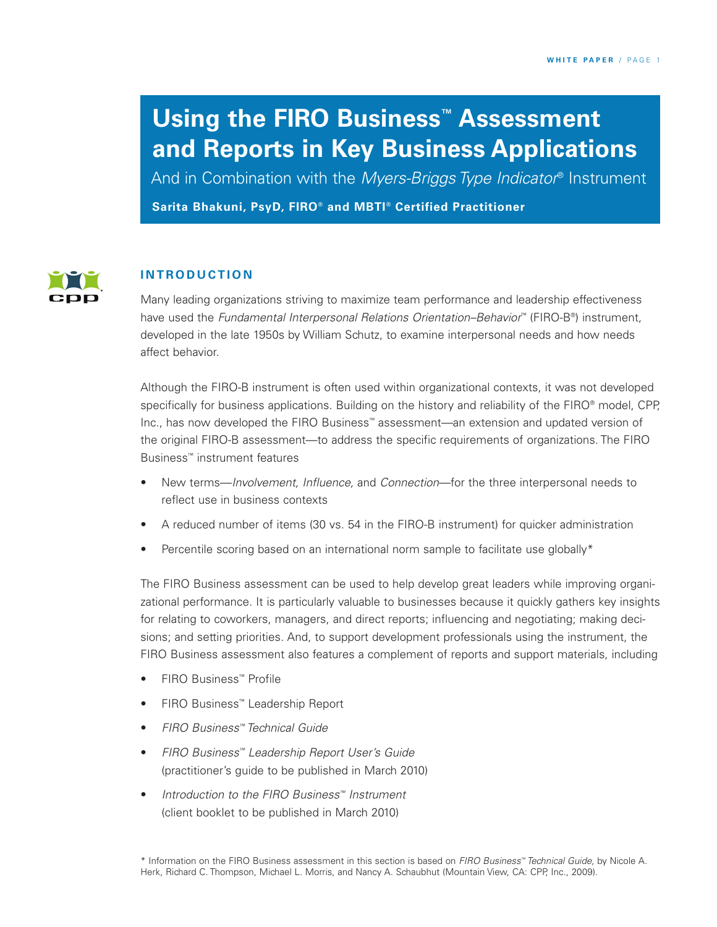# **Using the FIRO Business™ Assessment and Reports in Key Business Applications**

**Sarita Bhakuni, PsyD, FIRO® and MBTI® Certified Practitioner** And in Combination with the *Myers-Briggs Type Indicator*® Instrument



## **I N T R O D U C T I O N**

Many leading organizations striving to maximize team performance and leadership effectiveness have used the *Fundamental Interpersonal Relations Orientation–Behavior*™ (FIRO-B®) instrument, developed in the late 1950s by William Schutz, to examine interpersonal needs and how needs affect behavior.

Although the FIRO-B instrument is often used within organizational contexts, it was not developed specifically for business applications. Building on the history and reliability of the FIRO® model, CPP, Inc., has now developed the FIRO Business™ assessment—an extension and updated version of the original FIRO-B assessment—to address the specific requirements of organizations. The FIRO Business™ instrument features

- New terms—*Involvement, Influence,* and *Connection*—for the three interpersonal needs to reflect use in business contexts
- A reduced number of items (30 vs. 54 in the FIRO-B instrument) for quicker administration
- Percentile scoring based on an international norm sample to facilitate use globally\*

The FIRO Business assessment can be used to help develop great leaders while improving organizational performance. It is particularly valuable to businesses because it quickly gathers key insights for relating to coworkers, managers, and direct reports; influencing and negotiating; making decisions; and setting priorities. And, to support development professionals using the instrument, the FIRO Business assessment also features a complement of reports and support materials, including

- FIRO Business™ Profile
- FIRO Business™ Leadership Report
- *FIRO Business™ Technical Guide*
- *FIRO Business™ Leadership Report User's Guide* (practitioner's guide to be published in March 2010)
- *Introduction to the FIRO Business™ Instrument* (client booklet to be published in March 2010)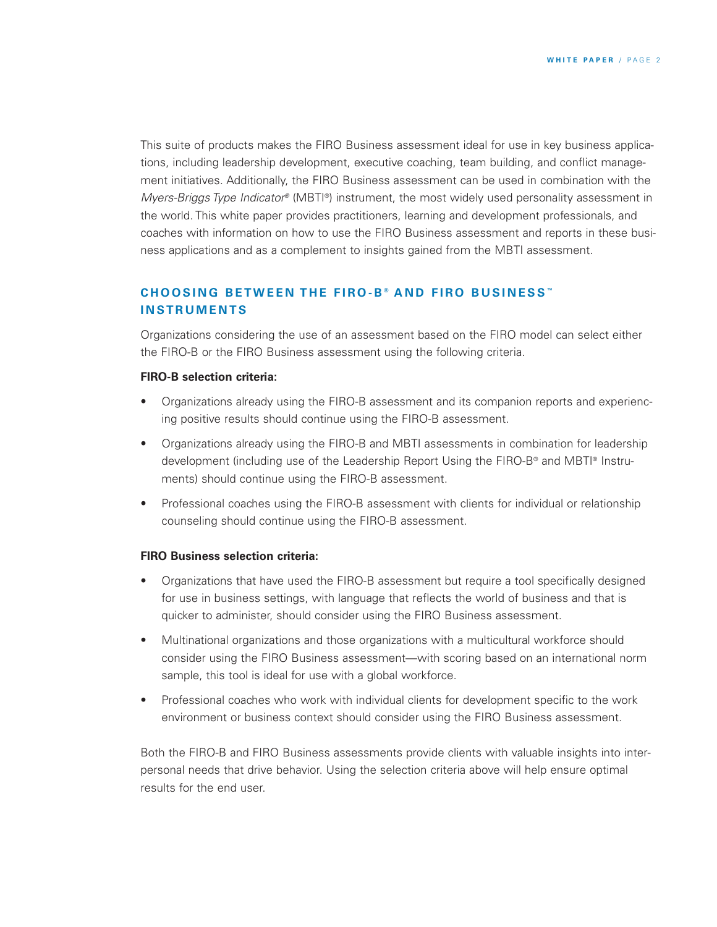This suite of products makes the FIRO Business assessment ideal for use in key business applications, including leadership development, executive coaching, team building, and conflict management initiatives. Additionally, the FIRO Business assessment can be used in combination with the *Myers-Briggs Type Indicator®* (MBTI®) instrument, the most widely used personality assessment in the world. This white paper provides practitioners, learning and development professionals, and coaches with information on how to use the FIRO Business assessment and reports in these business applications and as a complement to insights gained from the MBTI assessment.

## **C H O O S I N G B E T W E E N T H E F I R O - B ® A N D F I R O B U S I N E S S ™ I N S T R U M E N T S**

Organizations considering the use of an assessment based on the FIRO model can select either the FIRO-B or the FIRO Business assessment using the following criteria.

#### **FIRO-B selection criteria:**

- Organizations already using the FIRO-B assessment and its companion reports and experiencing positive results should continue using the FIRO-B assessment.
- Organizations already using the FIRO-B and MBTI assessments in combination for leadership development (including use of the Leadership Report Using the FIRO-B® and MBTI® Instruments) should continue using the FIRO-B assessment.
- Professional coaches using the FIRO-B assessment with clients for individual or relationship counseling should continue using the FIRO-B assessment.

#### **FIRO Business selection criteria:**

- Organizations that have used the FIRO-B assessment but require a tool specifically designed for use in business settings, with language that reflects the world of business and that is quicker to administer, should consider using the FIRO Business assessment.
- Multinational organizations and those organizations with a multicultural workforce should consider using the FIRO Business assessment—with scoring based on an international norm sample, this tool is ideal for use with a global workforce.
- Professional coaches who work with individual clients for development specific to the work environment or business context should consider using the FIRO Business assessment.

Both the FIRO-B and FIRO Business assessments provide clients with valuable insights into interpersonal needs that drive behavior. Using the selection criteria above will help ensure optimal results for the end user.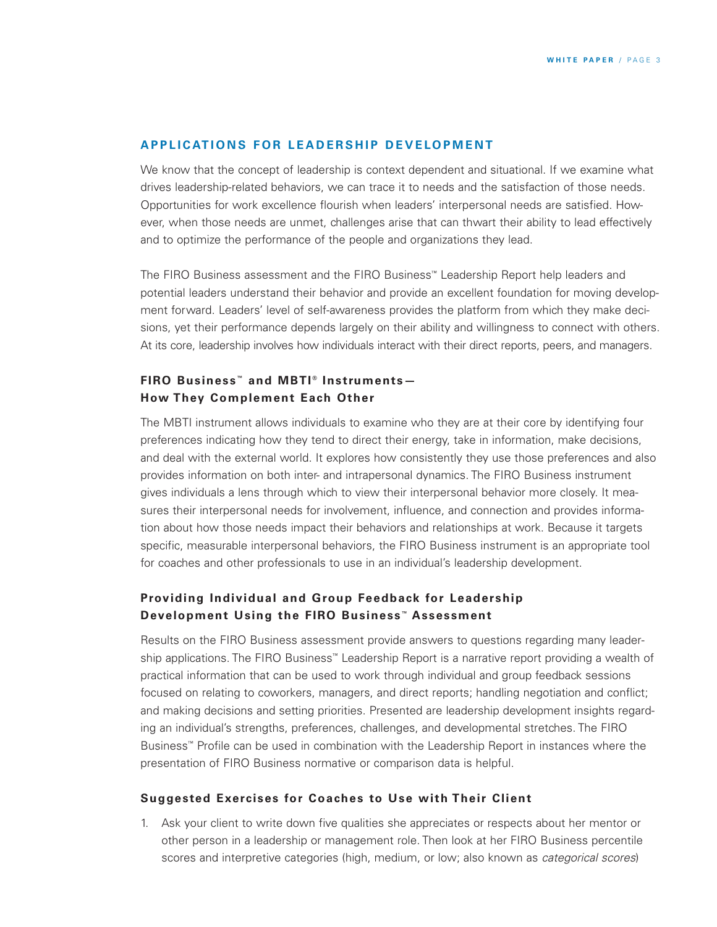#### **APPLICATIONS FOR LEADERSHIP DEVELOPMENT**

We know that the concept of leadership is context dependent and situational. If we examine what drives leadership-related behaviors, we can trace it to needs and the satisfaction of those needs. Opportunities for work excellence flourish when leaders' interpersonal needs are satisfied. However, when those needs are unmet, challenges arise that can thwart their ability to lead effectively and to optimize the performance of the people and organizations they lead.

The FIRO Business assessment and the FIRO Business™ Leadership Report help leaders and potential leaders understand their behavior and provide an excellent foundation for moving development forward. Leaders' level of self-awareness provides the platform from which they make decisions, yet their performance depends largely on their ability and willingness to connect with others. At its core, leadership involves how individuals interact with their direct reports, peers, and managers.

# **FIRO Business ™ and MBTI ® Instruments— How They Complement Each Other**

The MBTI instrument allows individuals to examine who they are at their core by identifying four preferences indicating how they tend to direct their energy, take in information, make decisions, and deal with the external world. It explores how consistently they use those preferences and also provides information on both inter- and intrapersonal dynamics. The FIRO Business instrument gives individuals a lens through which to view their interpersonal behavior more closely. It measures their interpersonal needs for involvement, influence, and connection and provides information about how those needs impact their behaviors and relationships at work. Because it targets specific, measurable interpersonal behaviors, the FIRO Business instrument is an appropriate tool for coaches and other professionals to use in an individual's leadership development.

## **Providing Individual and Group Feedback for Leadership Development Using the FIRO Business ™ Assessment**

Results on the FIRO Business assessment provide answers to questions regarding many leadership applications. The FIRO Business™ Leadership Report is a narrative report providing a wealth of practical information that can be used to work through individual and group feedback sessions focused on relating to coworkers, managers, and direct reports; handling negotiation and conflict; and making decisions and setting priorities. Presented are leadership development insights regarding an individual's strengths, preferences, challenges, and developmental stretches. The FIRO Business™ Profile can be used in combination with the Leadership Report in instances where the presentation of FIRO Business normative or comparison data is helpful.

### **Suggested Exercises for Coaches to Use with Their Client**

1. Ask your client to write down five qualities she appreciates or respects about her mentor or other person in a leadership or management role. Then look at her FIRO Business percentile scores and interpretive categories (high, medium, or low; also known as *categorical scores*)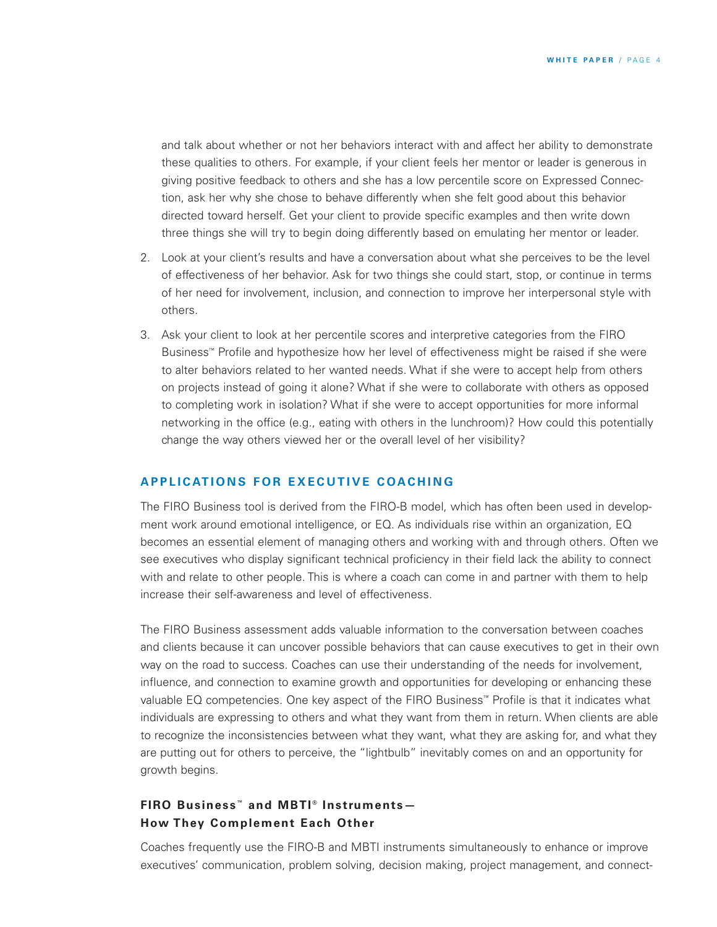and talk about whether or not her behaviors interact with and affect her ability to demonstrate these qualities to others. For example, if your client feels her mentor or leader is generous in giving positive feedback to others and she has a low percentile score on Expressed Connection, ask her why she chose to behave differently when she felt good about this behavior directed toward herself. Get your client to provide specific examples and then write down three things she will try to begin doing differently based on emulating her mentor or leader.

- 2. Look at your client's results and have a conversation about what she perceives to be the level of effectiveness of her behavior. Ask for two things she could start, stop, or continue in terms of her need for involvement, inclusion, and connection to improve her interpersonal style with others.
- 3. Ask your client to look at her percentile scores and interpretive categories from the FIRO Business™ Profile and hypothesize how her level of effectiveness might be raised if she were to alter behaviors related to her wanted needs. What if she were to accept help from others on projects instead of going it alone? What if she were to collaborate with others as opposed to completing work in isolation? What if she were to accept opportunities for more informal networking in the office (e.g., eating with others in the lunchroom)? How could this potentially change the way others viewed her or the overall level of her visibility?

## **APPLICATIONS FOR EXECUTIVE COACHING**

The FIRO Business tool is derived from the FIRO-B model, which has often been used in development work around emotional intelligence, or EQ. As individuals rise within an organization, EQ becomes an essential element of managing others and working with and through others. Often we see executives who display significant technical proficiency in their field lack the ability to connect with and relate to other people. This is where a coach can come in and partner with them to help increase their self-awareness and level of effectiveness.

The FIRO Business assessment adds valuable information to the conversation between coaches and clients because it can uncover possible behaviors that can cause executives to get in their own way on the road to success. Coaches can use their understanding of the needs for involvement, influence, and connection to examine growth and opportunities for developing or enhancing these valuable EQ competencies. One key aspect of the FIRO Business™ Profile is that it indicates what individuals are expressing to others and what they want from them in return. When clients are able to recognize the inconsistencies between what they want, what they are asking for, and what they are putting out for others to perceive, the "lightbulb" inevitably comes on and an opportunity for growth begins.

## **FIRO Business ™ and MBTI ® Instruments— How They Complement Each Other**

Coaches frequently use the FIRO-B and MBTI instruments simultaneously to enhance or improve executives' communication, problem solving, decision making, project management, and connect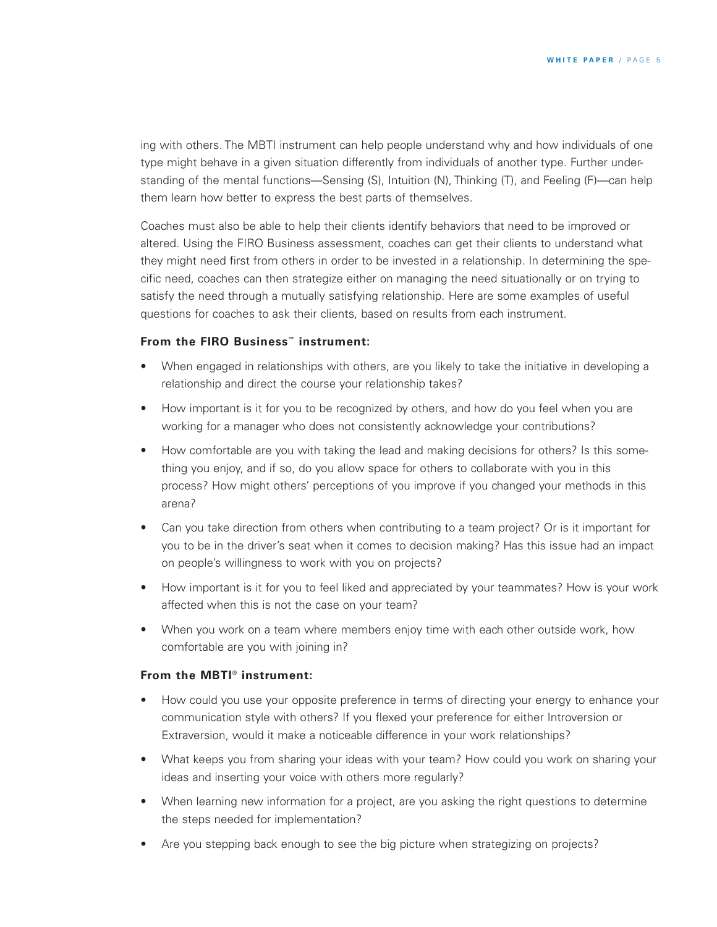ing with others. The MBTI instrument can help people understand why and how individuals of one type might behave in a given situation differently from individuals of another type. Further understanding of the mental functions—Sensing (S), Intuition (N), Thinking (T), and Feeling (F)—can help them learn how better to express the best parts of themselves.

Coaches must also be able to help their clients identify behaviors that need to be improved or altered. Using the FIRO Business assessment, coaches can get their clients to understand what they might need first from others in order to be invested in a relationship. In determining the specific need, coaches can then strategize either on managing the need situationally or on trying to satisfy the need through a mutually satisfying relationship. Here are some examples of useful questions for coaches to ask their clients, based on results from each instrument.

## **From the FIRO Business™ instrument:**

- When engaged in relationships with others, are you likely to take the initiative in developing a relationship and direct the course your relationship takes?
- How important is it for you to be recognized by others, and how do you feel when you are working for a manager who does not consistently acknowledge your contributions?
- How comfortable are you with taking the lead and making decisions for others? Is this something you enjoy, and if so, do you allow space for others to collaborate with you in this process? How might others' perceptions of you improve if you changed your methods in this arena?
- Can you take direction from others when contributing to a team project? Or is it important for you to be in the driver's seat when it comes to decision making? Has this issue had an impact on people's willingness to work with you on projects?
- How important is it for you to feel liked and appreciated by your teammates? How is your work affected when this is not the case on your team?
- When you work on a team where members enjoy time with each other outside work, how comfortable are you with joining in?

## **From the MBTI® instrument:**

- How could you use your opposite preference in terms of directing your energy to enhance your communication style with others? If you flexed your preference for either Introversion or Extraversion, would it make a noticeable difference in your work relationships?
- What keeps you from sharing your ideas with your team? How could you work on sharing your ideas and inserting your voice with others more regularly?
- When learning new information for a project, are you asking the right questions to determine the steps needed for implementation?
- Are you stepping back enough to see the big picture when strategizing on projects?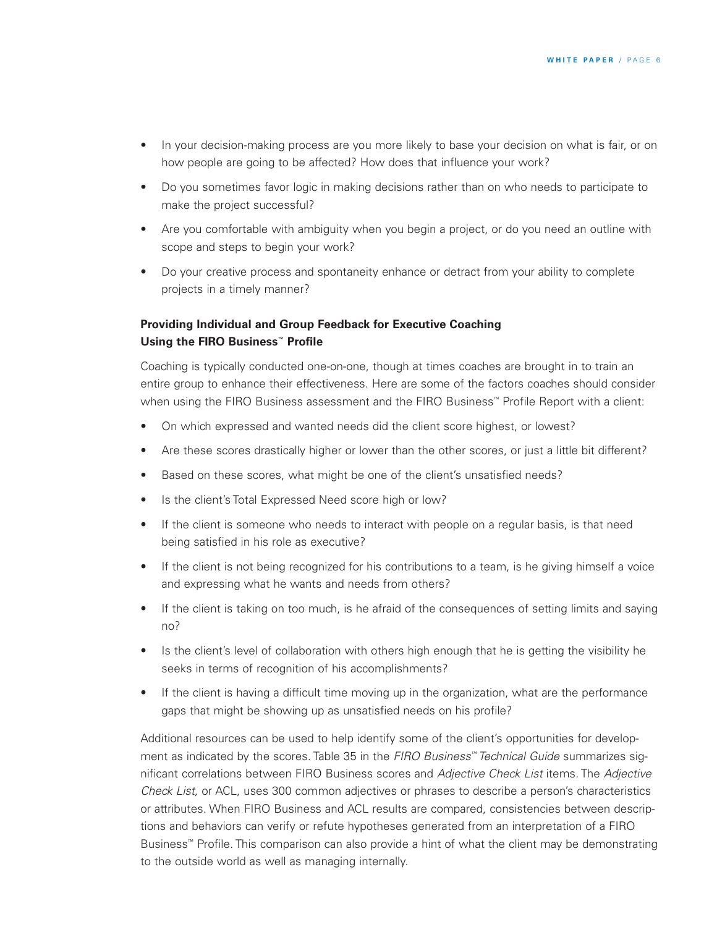- In your decision-making process are you more likely to base your decision on what is fair, or on how people are going to be affected? How does that influence your work?
- Do you sometimes favor logic in making decisions rather than on who needs to participate to make the project successful?
- Are you comfortable with ambiguity when you begin a project, or do you need an outline with scope and steps to begin your work?
- Do your creative process and spontaneity enhance or detract from your ability to complete projects in a timely manner?

## **Providing Individual and Group Feedback for Executive Coaching Using the FIRO Business™ Profile**

Coaching is typically conducted one-on-one, though at times coaches are brought in to train an entire group to enhance their effectiveness. Here are some of the factors coaches should consider when using the FIRO Business assessment and the FIRO Business™ Profile Report with a client:

- On which expressed and wanted needs did the client score highest, or lowest?
- Are these scores drastically higher or lower than the other scores, or just a little bit different?
- Based on these scores, what might be one of the client's unsatisfied needs?
- Is the client's Total Expressed Need score high or low?
- If the client is someone who needs to interact with people on a regular basis, is that need being satisfied in his role as executive?
- If the client is not being recognized for his contributions to a team, is he giving himself a voice and expressing what he wants and needs from others?
- If the client is taking on too much, is he afraid of the consequences of setting limits and saying no?
- Is the client's level of collaboration with others high enough that he is getting the visibility he seeks in terms of recognition of his accomplishments?
- If the client is having a difficult time moving up in the organization, what are the performance gaps that might be showing up as unsatisfied needs on his profile?

Additional resources can be used to help identify some of the client's opportunities for development as indicated by the scores. Table 35 in the *FIRO Business™ Technical Guide* summarizes significant correlations between FIRO Business scores and *Adjective Check List* items. The *Adjective Check List,* or ACL, uses 300 common adjectives or phrases to describe a person's characteristics or attributes. When FIRO Business and ACL results are compared, consistencies between descriptions and behaviors can verify or refute hypotheses generated from an interpretation of a FIRO Business™ Profile. This comparison can also provide a hint of what the client may be demonstrating to the outside world as well as managing internally.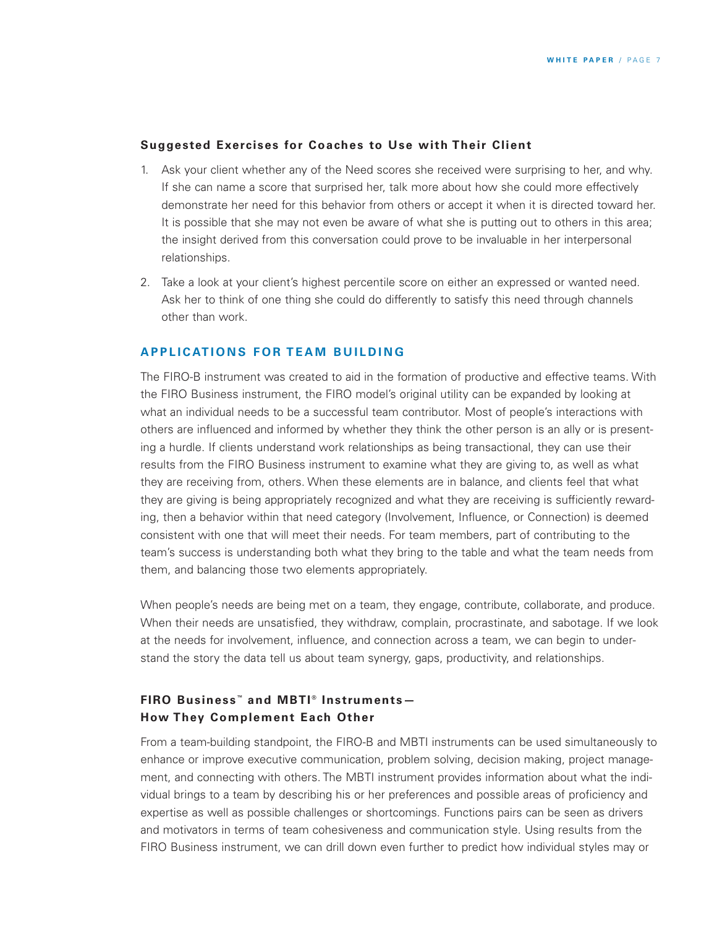#### **Suggested Exercises for Coaches to Use with Their Client**

- 1. Ask your client whether any of the Need scores she received were surprising to her, and why. If she can name a score that surprised her, talk more about how she could more effectively demonstrate her need for this behavior from others or accept it when it is directed toward her. It is possible that she may not even be aware of what she is putting out to others in this area; the insight derived from this conversation could prove to be invaluable in her interpersonal relationships.
- 2. Take a look at your client's highest percentile score on either an expressed or wanted need. Ask her to think of one thing she could do differently to satisfy this need through channels other than work.

### **A P P L I C AT I O N S F O R T E A M B U I L D I N G**

The FIRO-B instrument was created to aid in the formation of productive and effective teams. With the FIRO Business instrument, the FIRO model's original utility can be expanded by looking at what an individual needs to be a successful team contributor. Most of people's interactions with others are influenced and informed by whether they think the other person is an ally or is presenting a hurdle. If clients understand work relationships as being transactional, they can use their results from the FIRO Business instrument to examine what they are giving to, as well as what they are receiving from, others. When these elements are in balance, and clients feel that what they are giving is being appropriately recognized and what they are receiving is sufficiently rewarding, then a behavior within that need category (Involvement, Influence, or Connection) is deemed consistent with one that will meet their needs. For team members, part of contributing to the team's success is understanding both what they bring to the table and what the team needs from them, and balancing those two elements appropriately.

When people's needs are being met on a team, they engage, contribute, collaborate, and produce. When their needs are unsatisfied, they withdraw, complain, procrastinate, and sabotage. If we look at the needs for involvement, influence, and connection across a team, we can begin to understand the story the data tell us about team synergy, gaps, productivity, and relationships.

## **FIRO Business ™ and MBTI ® Instruments— How They Complement Each Other**

From a team-building standpoint, the FIRO-B and MBTI instruments can be used simultaneously to enhance or improve executive communication, problem solving, decision making, project management, and connecting with others. The MBTI instrument provides information about what the individual brings to a team by describing his or her preferences and possible areas of proficiency and expertise as well as possible challenges or shortcomings. Functions pairs can be seen as drivers and motivators in terms of team cohesiveness and communication style. Using results from the FIRO Business instrument, we can drill down even further to predict how individual styles may or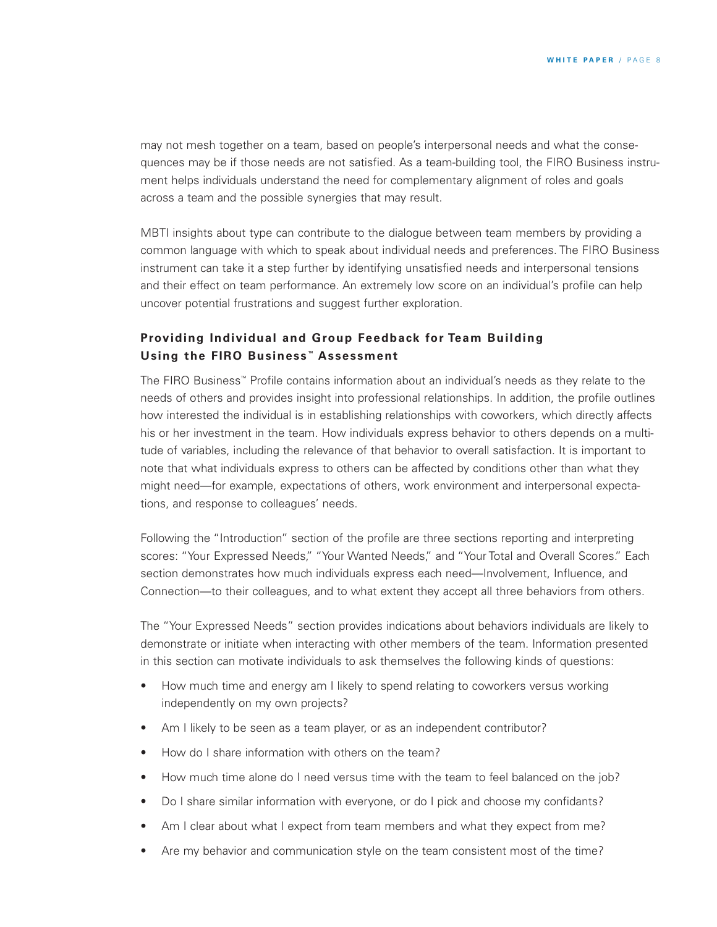may not mesh together on a team, based on people's interpersonal needs and what the consequences may be if those needs are not satisfied. As a team-building tool, the FIRO Business instrument helps individuals understand the need for complementary alignment of roles and goals across a team and the possible synergies that may result.

MBTI insights about type can contribute to the dialogue between team members by providing a common language with which to speak about individual needs and preferences. The FIRO Business instrument can take it a step further by identifying unsatisfied needs and interpersonal tensions and their effect on team performance. An extremely low score on an individual's profile can help uncover potential frustrations and suggest further exploration.

## **Providing Individual and Group Feedback for Team Building Using the FIRO Business ™ Assessment**

The FIRO Business™ Profile contains information about an individual's needs as they relate to the needs of others and provides insight into professional relationships. In addition, the profile outlines how interested the individual is in establishing relationships with coworkers, which directly affects his or her investment in the team. How individuals express behavior to others depends on a multitude of variables, including the relevance of that behavior to overall satisfaction. It is important to note that what individuals express to others can be affected by conditions other than what they might need—for example, expectations of others, work environment and interpersonal expectations, and response to colleagues' needs.

Following the "Introduction" section of the profile are three sections reporting and interpreting scores: "Your Expressed Needs," "Your Wanted Needs," and "Your Total and Overall Scores." Each section demonstrates how much individuals express each need—Involvement, Influence, and Connection—to their colleagues, and to what extent they accept all three behaviors from others.

The "Your Expressed Needs" section provides indications about behaviors individuals are likely to demonstrate or initiate when interacting with other members of the team. Information presented in this section can motivate individuals to ask themselves the following kinds of questions:

- How much time and energy am I likely to spend relating to coworkers versus working independently on my own projects?
- Am I likely to be seen as a team player, or as an independent contributor?
- How do I share information with others on the team?
- How much time alone do I need versus time with the team to feel balanced on the job?
- Do I share similar information with everyone, or do I pick and choose my confidants?
- Am I clear about what I expect from team members and what they expect from me?
- Are my behavior and communication style on the team consistent most of the time?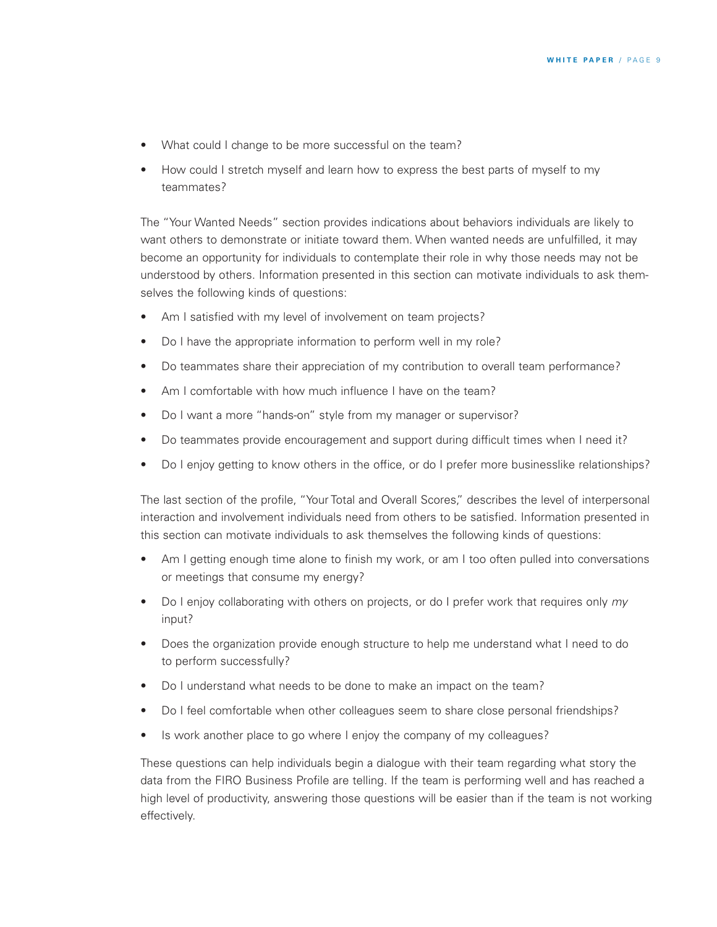- What could I change to be more successful on the team?
- How could I stretch myself and learn how to express the best parts of myself to my teammates?

The "Your Wanted Needs" section provides indications about behaviors individuals are likely to want others to demonstrate or initiate toward them. When wanted needs are unfulfilled, it may become an opportunity for individuals to contemplate their role in why those needs may not be understood by others. Information presented in this section can motivate individuals to ask themselves the following kinds of questions:

- Am I satisfied with my level of involvement on team projects?
- Do I have the appropriate information to perform well in my role?
- Do teammates share their appreciation of my contribution to overall team performance?
- Am I comfortable with how much influence I have on the team?
- Do I want a more "hands-on" style from my manager or supervisor?
- Do teammates provide encouragement and support during difficult times when I need it?
- Do I enjoy getting to know others in the office, or do I prefer more businesslike relationships?

The last section of the profile, "Your Total and Overall Scores," describes the level of interpersonal interaction and involvement individuals need from others to be satisfied. Information presented in this section can motivate individuals to ask themselves the following kinds of questions:

- Am I getting enough time alone to finish my work, or am I too often pulled into conversations or meetings that consume my energy?
- Do I enjoy collaborating with others on projects, or do I prefer work that requires only *my* input?
- Does the organization provide enough structure to help me understand what I need to do to perform successfully?
- Do I understand what needs to be done to make an impact on the team?
- Do I feel comfortable when other colleagues seem to share close personal friendships?
- Is work another place to go where I enjoy the company of my colleagues?

These questions can help individuals begin a dialogue with their team regarding what story the data from the FIRO Business Profile are telling. If the team is performing well and has reached a high level of productivity, answering those questions will be easier than if the team is not working effectively.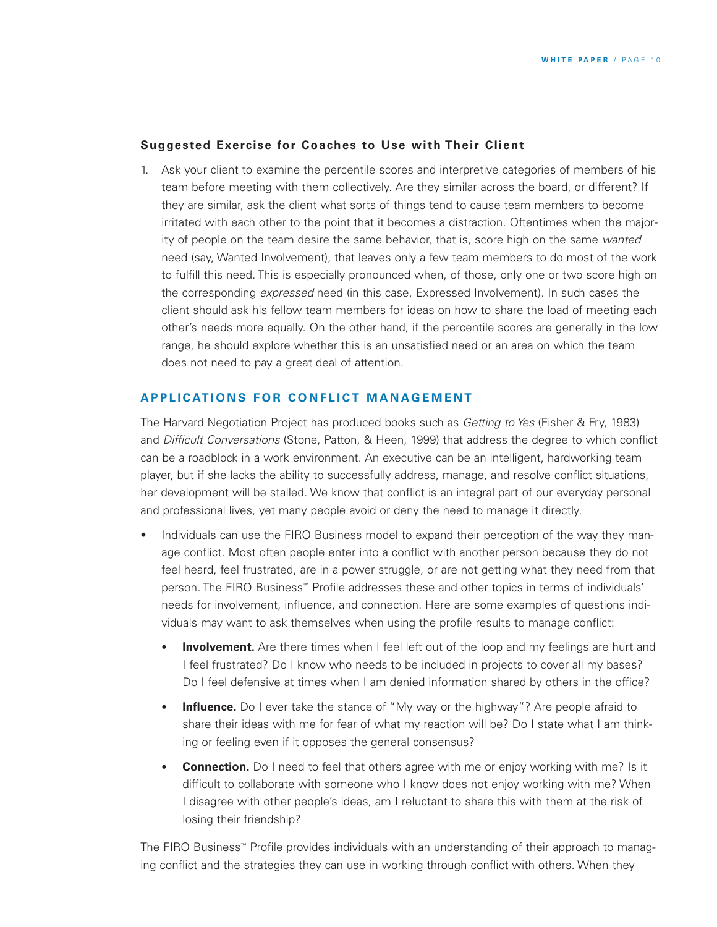### **Suggested Exercise for Coaches to Use with Their Client**

1. Ask your client to examine the percentile scores and interpretive categories of members of his team before meeting with them collectively. Are they similar across the board, or different? If they are similar, ask the client what sorts of things tend to cause team members to become irritated with each other to the point that it becomes a distraction. Oftentimes when the majority of people on the team desire the same behavior, that is, score high on the same *wanted* need (say, Wanted Involvement), that leaves only a few team members to do most of the work to fulfill this need. This is especially pronounced when, of those, only one or two score high on the corresponding *expressed* need (in this case, Expressed Involvement). In such cases the client should ask his fellow team members for ideas on how to share the load of meeting each other's needs more equally. On the other hand, if the percentile scores are generally in the low range, he should explore whether this is an unsatisfied need or an area on which the team does not need to pay a great deal of attention.

#### **APPLICATIONS FOR CONFLICT MANAGEMENT**

The Harvard Negotiation Project has produced books such as *Getting to Yes* (Fisher & Fry, 1983) and *Difficult Conversations* (Stone, Patton, & Heen, 1999) that address the degree to which conflict can be a roadblock in a work environment. An executive can be an intelligent, hardworking team player, but if she lacks the ability to successfully address, manage, and resolve conflict situations, her development will be stalled. We know that conflict is an integral part of our everyday personal and professional lives, yet many people avoid or deny the need to manage it directly.

- Individuals can use the FIRO Business model to expand their perception of the way they manage conflict. Most often people enter into a conflict with another person because they do not feel heard, feel frustrated, are in a power struggle, or are not getting what they need from that person. The FIRO Business™ Profile addresses these and other topics in terms of individuals' needs for involvement, influence, and connection. Here are some examples of questions individuals may want to ask themselves when using the profile results to manage conflict:
	- **Involvement.** Are there times when I feel left out of the loop and my feelings are hurt and I feel frustrated? Do I know who needs to be included in projects to cover all my bases? Do I feel defensive at times when I am denied information shared by others in the office?
	- **Influence.** Do I ever take the stance of "My way or the highway"? Are people afraid to share their ideas with me for fear of what my reaction will be? Do I state what I am thinking or feeling even if it opposes the general consensus?
	- **Connection.** Do I need to feel that others agree with me or enjoy working with me? Is it difficult to collaborate with someone who I know does not enjoy working with me? When I disagree with other people's ideas, am I reluctant to share this with them at the risk of losing their friendship?

The FIRO Business™ Profile provides individuals with an understanding of their approach to managing conflict and the strategies they can use in working through conflict with others. When they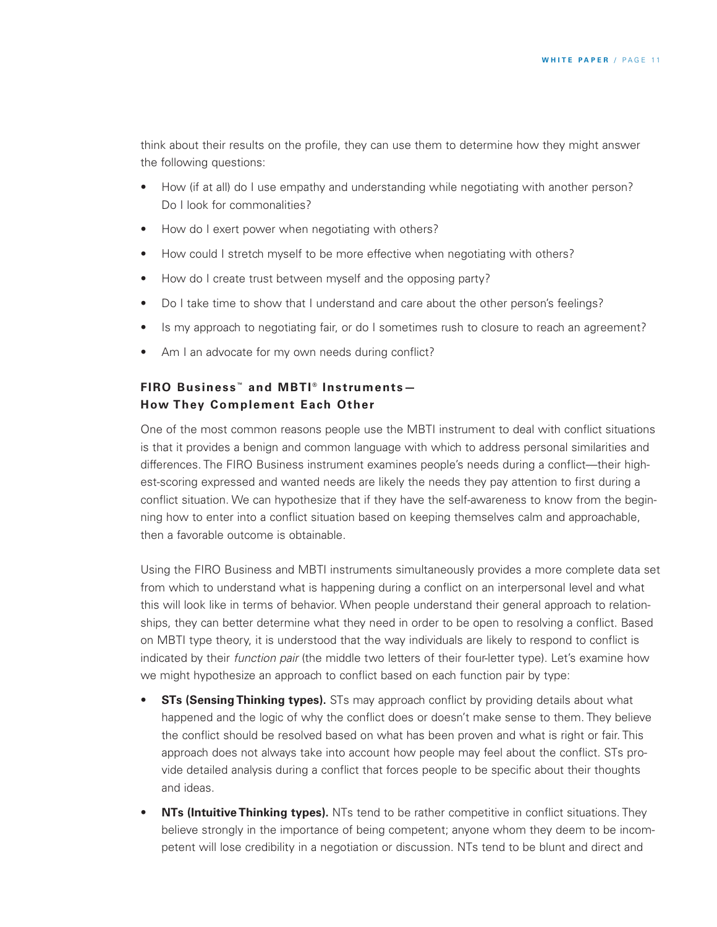think about their results on the profile, they can use them to determine how they might answer the following questions:

- How (if at all) do I use empathy and understanding while negotiating with another person? Do I look for commonalities?
- How do I exert power when negotiating with others?
- How could I stretch myself to be more effective when negotiating with others?
- How do I create trust between myself and the opposing party?
- Do I take time to show that I understand and care about the other person's feelings?
- Is my approach to negotiating fair, or do I sometimes rush to closure to reach an agreement?
- Am I an advocate for my own needs during conflict?

# **FIRO Business ™ and MBTI ® Instruments— How They Complement Each Other**

One of the most common reasons people use the MBTI instrument to deal with conflict situations is that it provides a benign and common language with which to address personal similarities and differences. The FIRO Business instrument examines people's needs during a conflict—their highest-scoring expressed and wanted needs are likely the needs they pay attention to first during a conflict situation. We can hypothesize that if they have the self-awareness to know from the beginning how to enter into a conflict situation based on keeping themselves calm and approachable, then a favorable outcome is obtainable.

Using the FIRO Business and MBTI instruments simultaneously provides a more complete data set from which to understand what is happening during a conflict on an interpersonal level and what this will look like in terms of behavior. When people understand their general approach to relationships, they can better determine what they need in order to be open to resolving a conflict. Based on MBTI type theory, it is understood that the way individuals are likely to respond to conflict is indicated by their *function pair* (the middle two letters of their four-letter type). Let's examine how we might hypothesize an approach to conflict based on each function pair by type:

- **STs (Sensing Thinking types).** STs may approach conflict by providing details about what happened and the logic of why the conflict does or doesn't make sense to them. They believe the conflict should be resolved based on what has been proven and what is right or fair. This approach does not always take into account how people may feel about the conflict. STs provide detailed analysis during a conflict that forces people to be specific about their thoughts and ideas.
- **NTs (Intuitive Thinking types).** NTs tend to be rather competitive in conflict situations. They believe strongly in the importance of being competent; anyone whom they deem to be incompetent will lose credibility in a negotiation or discussion. NTs tend to be blunt and direct and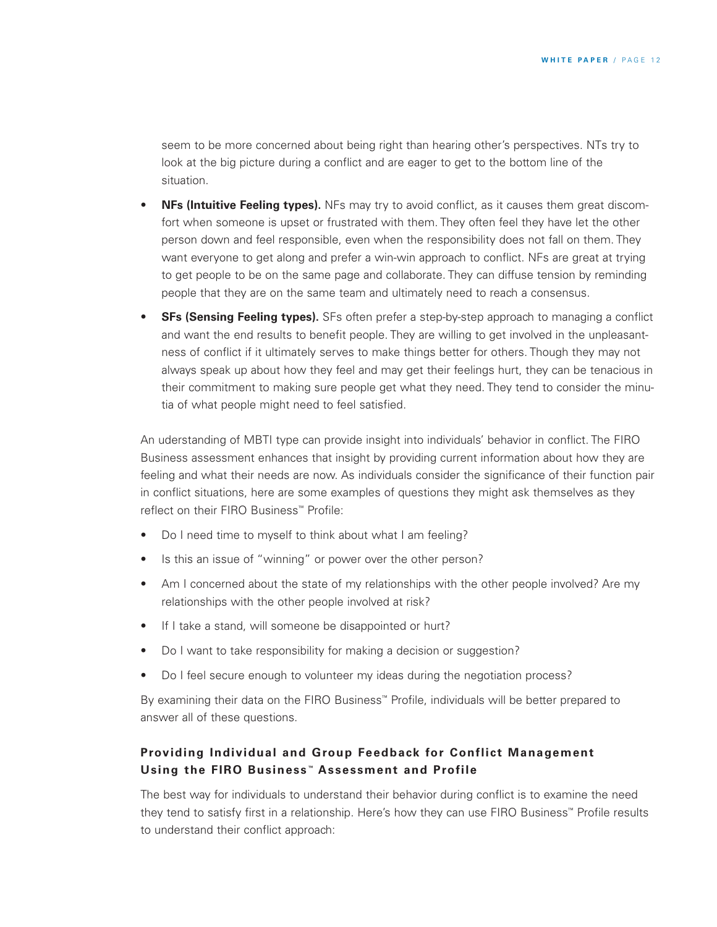seem to be more concerned about being right than hearing other's perspectives. NTs try to look at the big picture during a conflict and are eager to get to the bottom line of the situation.

- **NFs (Intuitive Feeling types).** NFs may try to avoid conflict, as it causes them great discomfort when someone is upset or frustrated with them. They often feel they have let the other person down and feel responsible, even when the responsibility does not fall on them. They want everyone to get along and prefer a win-win approach to conflict. NFs are great at trying to get people to be on the same page and collaborate. They can diffuse tension by reminding people that they are on the same team and ultimately need to reach a consensus.
- **SFs (Sensing Feeling types).** SFs often prefer a step-by-step approach to managing a conflict and want the end results to benefit people. They are willing to get involved in the unpleasantness of conflict if it ultimately serves to make things better for others. Though they may not always speak up about how they feel and may get their feelings hurt, they can be tenacious in their commitment to making sure people get what they need. They tend to consider the minutia of what people might need to feel satisfied.

An uderstanding of MBTI type can provide insight into individuals' behavior in conflict. The FIRO Business assessment enhances that insight by providing current information about how they are feeling and what their needs are now. As individuals consider the significance of their function pair in conflict situations, here are some examples of questions they might ask themselves as they reflect on their FIRO Business™ Profile:

- Do I need time to myself to think about what I am feeling?
- Is this an issue of "winning" or power over the other person?
- Am I concerned about the state of my relationships with the other people involved? Are my relationships with the other people involved at risk?
- If I take a stand, will someone be disappointed or hurt?
- Do I want to take responsibility for making a decision or suggestion?
- Do I feel secure enough to volunteer my ideas during the negotiation process?

By examining their data on the FIRO Business™ Profile, individuals will be better prepared to answer all of these questions.

## **Providing Individual and Group Feedback for Conflict Management Using the FIRO Business ™ Assessment and Profile**

The best way for individuals to understand their behavior during conflict is to examine the need they tend to satisfy first in a relationship. Here's how they can use FIRO Business™ Profile results to understand their conflict approach: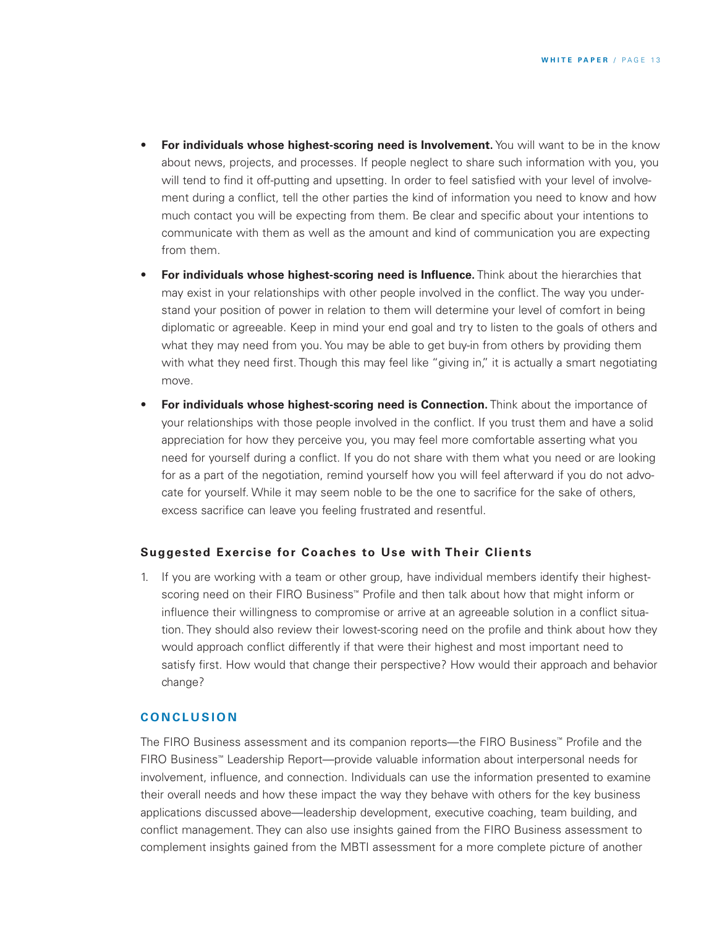- **For individuals whose highest-scoring need is Involvement.** You will want to be in the know about news, projects, and processes. If people neglect to share such information with you, you will tend to find it off-putting and upsetting. In order to feel satisfied with your level of involvement during a conflict, tell the other parties the kind of information you need to know and how much contact you will be expecting from them. Be clear and specific about your intentions to communicate with them as well as the amount and kind of communication you are expecting from them.
- **For individuals whose highest-scoring need is Influence.** Think about the hierarchies that may exist in your relationships with other people involved in the conflict. The way you understand your position of power in relation to them will determine your level of comfort in being diplomatic or agreeable. Keep in mind your end goal and try to listen to the goals of others and what they may need from you. You may be able to get buy-in from others by providing them with what they need first. Though this may feel like "giving in," it is actually a smart negotiating move.
- **For individuals whose highest-scoring need is Connection.** Think about the importance of your relationships with those people involved in the conflict. If you trust them and have a solid appreciation for how they perceive you, you may feel more comfortable asserting what you need for yourself during a conflict. If you do not share with them what you need or are looking for as a part of the negotiation, remind yourself how you will feel afterward if you do not advocate for yourself. While it may seem noble to be the one to sacrifice for the sake of others, excess sacrifice can leave you feeling frustrated and resentful.

#### **Suggested Exercise for Coaches to Use with Their Clients**

1. If you are working with a team or other group, have individual members identify their highestscoring need on their FIRO Business™ Profile and then talk about how that might inform or influence their willingness to compromise or arrive at an agreeable solution in a conflict situation. They should also review their lowest-scoring need on the profile and think about how they would approach conflict differently if that were their highest and most important need to satisfy first. How would that change their perspective? How would their approach and behavior change?

## **C O N C L U S I O N**

The FIRO Business assessment and its companion reports—the FIRO Business™ Profile and the FIRO Business™ Leadership Report—provide valuable information about interpersonal needs for involvement, influence, and connection. Individuals can use the information presented to examine their overall needs and how these impact the way they behave with others for the key business applications discussed above—leadership development, executive coaching, team building, and conflict management. They can also use insights gained from the FIRO Business assessment to complement insights gained from the MBTI assessment for a more complete picture of another